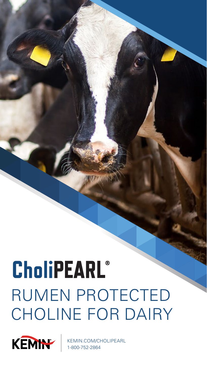# **CholiPEARL®** RUMEN PROTECTED CHOLINE FOR DAIRY

Logo: Cholipearle

Logo: Kemin logo: Kemin logo: Kemin logo: Kemin logo: Kemin logo: Kemin logo: Kemin logo: Kemin logo: Kemin lo

Image: Dairy Cows Eating

Title: Rumen Protected Choline for Dairy



KEMIN.COM/CHOLIPEARL 1-800-752-2864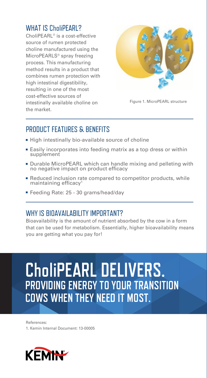#### WHAT IS CholiPEARL?

CholiPEARL® is a cost-effective source of rumen protected choline manufactured using the MicroPEARLS® spray freezing process. This manufacturing method results in a product that combines rumen protection with high intestinal digestibility, resulting in one of the most cost-effective sources of intestinally available choline on the market.



Figure 1. MicroPEARL structure

#### PRODUCT FEATURES & BENEFITS

- High intestinally bio-available source of choline
- Easily incorporates into feeding matrix as a top dress or within supplement
- Durable MicroPEARL which can handle mixing and pelleting with no negative impact on product efficacy
- Reduced inclusion rate compared to competitor products, while maintaining efficacy<sup>1</sup>
- Feeding Rate: 25 30 grams/head/day

### WHY IS BIOAVAILABILITY IMPORTANT?

Bioavailability is the amount of nutrient absorbed by the cow in a form that can be used for metabolism. Essentially, higher bioavailability means you are getting what you pay for!

VLDL

## **CholiPEARL DELIVERS. PROVIDING ENERGY TO YOUR TRANSITION COWS WHEN THEY NEED IT MOST.**

References: 1. Kemin Internal Document: 13-00005

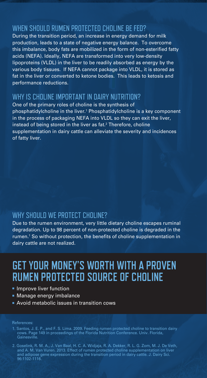#### WHEN SHOULD RUMEN PROTECTED CHOLINE BE FED?

During the transition period, an increase in energy demand for milk production, leads to a state of negative energy balance. To overcome this imbalance, body fats are mobilized in the form of non-esterified fatty acids (NEFA). Ideally, NEFA are transformed into very low-density lipoproteins (VLDL) in the liver to be readily absorbed as energy by the various body tissues. If NEFA cannot package into VLDL, it is stored as fat in the liver or converted to ketone bodies. This leads to ketosis and performance reductions.

#### WHY IS CHOLINE IMPORTANT IN DAIRY NUTRITION?

One of the primary roles of choline is the synthesis of phosphatidylcholine in the liver.<sup>1</sup> Phosphatidylcholine is a key component in the process of packaging NEFA into VLDL so they can exit the liver, instead of being stored in the liver as fat. $^2$  Therefore, choline supplementation in dairy cattle can alleviate the severity and incidences of fatty liver.

#### WHY SHOULD WE PROTECT CHOLINE?

Due to the rumen environment, very little dietary choline escapes ruminal degradation. Up to 98 percent of non-protected choline is degraded in the rumen.<sup>1</sup> So without protection, the benefits of choline supplementation in dairy cattle are not realized.

## **GET YOUR MONEY'S WORTH WITH A PROVEN RUMEN PROTECTED SOURCE OF CHOLINE**

- **Improve liver function**
- Manage energy imbalance
- Avoid metabolic issues in transition cows

#### References:

- 1. Santos, J. E. P., and F. S. Lima. 2009. Feeding rumen protected choline to transition dairy cows. Page 149 in proceedings of the Florida Nutrition Conference. Univ. Florida, Gainesville.
- 2. Goselink, R. M. A., J. Van Baal, H. C. A. Widjaja, R. A. Dekker, R. L. G. Zom, M. J. De Veth, and A. M. Van Vuren. 2013. Effect of rumen protected choline supplementation on liver and adipose gene expression during the transition period in dairy cattle. J. Dairy Sci. 96:1102-1116.